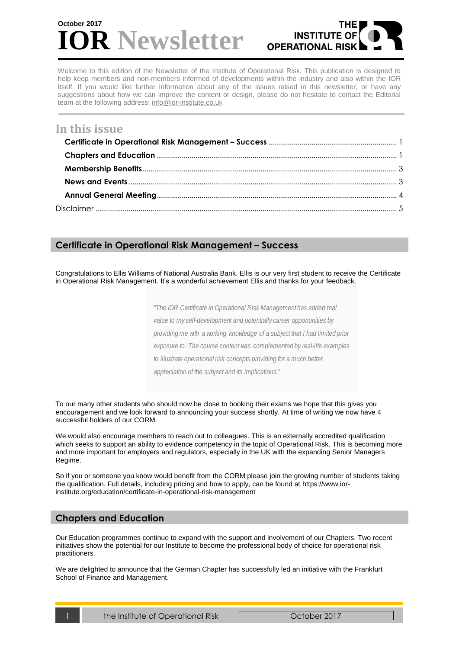# **R** Newsletter **October 2017**



Welcome to this edition of the Newsletter of the Institute of Operational Risk. This publication is designed to help keep members and non-members informed of developments within the industry and also within the IOR itself. If you would like further information about any of the issues raised in this newsletter, or have any suggestions about how we can improve the content or design, please do not hesitate to contact the Editorial team at the following address: [info@ior-institute.co.uk](mailto:info@ior-institute.co.uk)

# **In this issue**

# <span id="page-0-0"></span>**Certificate in Operational Risk Management – Success congratulate in participal student with participal su**

Congratulations to Ellis Williams of National Australia Bank. Ellis is our very first student to receive the Certificate in Operational Risk Management. It's a wonderful achievement Ellis and thanks for your feedback.

CORM examination system has now gone live, and delighted to

*"The IOR Certificate in Operational Risk Management has added real value to my self-development and potentially career opportunities by providing me with a working knowledge of a subject that I had limited prior exposure to. The course content was complemented by real-life examples to illustrate operational risk concepts providing for a much better appreciation of the subject and its implications."*

To our many other students who should now be close to booking their exams we hope that this gives you encouragement and we look forward to announcing your success shortly. At time of writing we now have 4 successful holders of our CORM.

We would also encourage members to reach out to colleagues. This is an externally accredited qualification which seeks to support an ability to evidence competency in the topic of Operational Risk. This is becoming more and more important for employers and regulators, especially in the UK with the expanding Senior Managers Regime.

So if you or someone you know would benefit from the CORM please join the growing number of students taking the qualification. Full details, including pricing and how to apply, can be found at [https://www.ior](https://www.ior-institute.org/education/certificate-in-operational-risk-management)[institute.org/education/certificate-in-operational-risk-management](https://www.ior-institute.org/education/certificate-in-operational-risk-management)

### <span id="page-0-1"></span>**Chapters and Education**

Our Education programmes continue to expand with the support and involvement of our Chapters. Two recent initiatives show the potential for our Institute to become the professional body of choice for operational risk practitioners.

We are delighted to announce that the German Chapter has successfully led an initiative with the Frankfurt School of Finance and Management.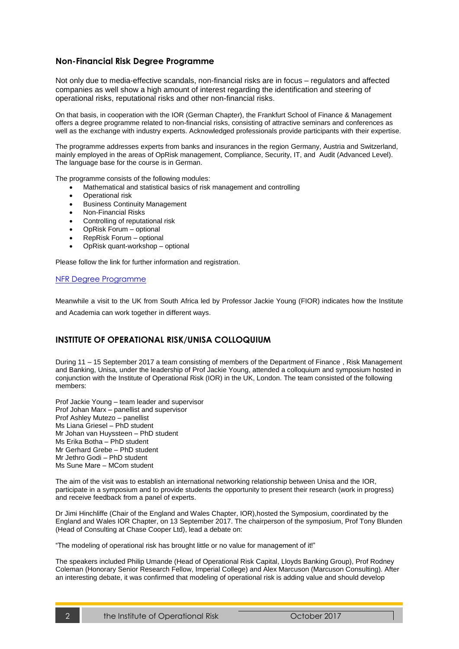#### **Non-Financial Risk Degree Programme**

Not only due to media-effective scandals, non-financial risks are in focus – regulators and affected companies as well show a high amount of interest regarding the identification and steering of operational risks, reputational risks and other non-financial risks.

On that basis, in cooperation with the IOR (German Chapter), the Frankfurt School of Finance & Management offers a degree programme related to non-financial risks, consisting of attractive seminars and conferences as well as the exchange with industry experts. Acknowledged professionals provide participants with their expertise.

The programme addresses experts from banks and insurances in the region Germany, Austria and Switzerland, mainly employed in the areas of OpRisk management, Compliance, Security, IT, and Audit (Advanced Level). The language base for the course is in German.

The programme consists of the following modules:

- Mathematical and statistical basics of risk management and controlling
- Operational risk
- Business Continuity Management
- Non-Financial Risks
- Controlling of reputational risk
- OpRisk Forum optional
- RepRisk Forum optional
- OpRisk quant-workshop optional

Please follow the link for further information and registration.

#### [NFR Degree Programme](http://www.frankfurt-school.de/de/ExecutiveEducation/0000001209978S~/Zertifikatsstudiengang%20Risikomanager%20f%C3%BCr%20Non-Financial%20Risks)

Meanwhile a visit to the UK from South Africa led by Professor Jackie Young (FIOR) indicates how the Institute and Academia can work together in different ways.

#### **INSTITUTE OF OPERATIONAL RISK/UNISA COLLOQUIUM**

During 11 – 15 September 2017 a team consisting of members of the Department of Finance , Risk Management and Banking, Unisa, under the leadership of Prof Jackie Young, attended a colloquium and symposium hosted in conjunction with the Institute of Operational Risk (IOR) in the UK, London. The team consisted of the following members:

Prof Jackie Young – team leader and supervisor Prof Johan Marx – panellist and supervisor Prof Ashley Mutezo – panellist Ms Liana Griesel – PhD student Mr Johan van Huyssteen – PhD student Ms Erika Botha – PhD student Mr Gerhard Grebe – PhD student Mr Jethro Godi – PhD student Ms Sune Mare – MCom student

The aim of the visit was to establish an international networking relationship between Unisa and the IOR, participate in a symposium and to provide students the opportunity to present their research (work in progress) and receive feedback from a panel of experts.

Dr Jimi Hinchliffe (Chair of the England and Wales Chapter, IOR),hosted the Symposium, coordinated by the England and Wales IOR Chapter, on 13 September 2017. The chairperson of the symposium, Prof Tony Blunden (Head of Consulting at Chase Cooper Ltd), lead a debate on:

"The modeling of operational risk has brought little or no value for management of it!"

The speakers included Philip Umande (Head of Operational Risk Capital, Lloyds Banking Group), Prof Rodney Coleman (Honorary Senior Research Fellow, Imperial College) and Alex Marcuson (Marcuson Consulting). After an interesting debate, it was confirmed that modeling of operational risk is adding value and should develop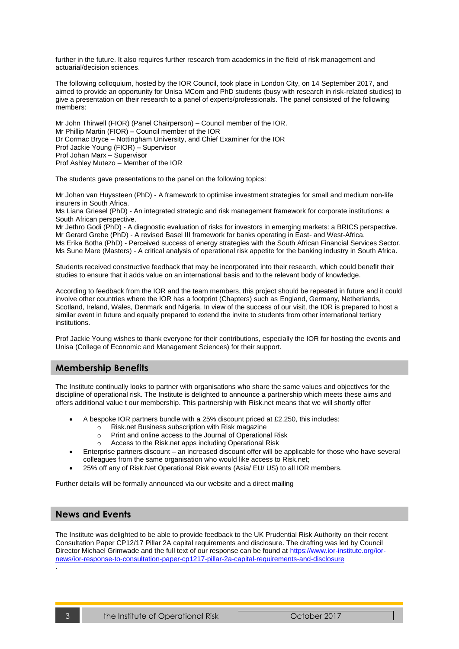further in the future. It also requires further research from academics in the field of risk management and actuarial/decision sciences.

The following colloquium, hosted by the IOR Council, took place in London City, on 14 September 2017, and aimed to provide an opportunity for Unisa MCom and PhD students (busy with research in risk-related studies) to give a presentation on their research to a panel of experts/professionals. The panel consisted of the following members:

Mr John Thirwell (FIOR) (Panel Chairperson) – Council member of the IOR. Mr Phillip Martin (FIOR) – Council member of the IOR Dr Cormac Bryce – Nottingham University, and Chief Examiner for the IOR Prof Jackie Young (FIOR) – Supervisor Prof Johan Marx – Supervisor Prof Ashley Mutezo – Member of the IOR

The students gave presentations to the panel on the following topics:

Mr Johan van Huyssteen (PhD) - A framework to optimise investment strategies for small and medium non-life insurers in South Africa.

Ms Liana Griesel (PhD) - An integrated strategic and risk management framework for corporate institutions: a South African perspective.

Mr Jethro Godi (PhD) - A diagnostic evaluation of risks for investors in emerging markets: a BRICS perspective. Mr Gerard Grebe (PhD) - A revised Basel III framework for banks operating in East- and West-Africa. Ms Erika Botha (PhD) - Perceived success of energy strategies with the South African Financial Services Sector. Ms Sune Mare (Masters) - A critical analysis of operational risk appetite for the banking industry in South Africa.

Students received constructive feedback that may be incorporated into their research, which could benefit their studies to ensure that it adds value on an international basis and to the relevant body of knowledge.

According to feedback from the IOR and the team members, this project should be repeated in future and it could involve other countries where the IOR has a footprint (Chapters) such as England, Germany, Netherlands, Scotland, Ireland, Wales, Denmark and Nigeria. In view of the success of our visit, the IOR is prepared to host a similar event in future and equally prepared to extend the invite to students from other international tertiary institutions.

Prof Jackie Young wishes to thank everyone for their contributions, especially the IOR for hosting the events and Unisa (College of Economic and Management Sciences) for their support.

#### <span id="page-2-0"></span>**Membership Benefits**

The Institute continually looks to partner with organisations who share the same values and objectives for the discipline of operational risk. The Institute is delighted to announce a partnership which meets these aims and offers additional value t our membership. This partnership with Risk.net means that we will shortly offer

- A bespoke IOR partners bundle with a 25% discount priced at £2,250, this includes:
	- $\circ$  Risk.net Business subscription with Risk magazine
		- o Print and online access to the Journal of Operational Risk
	- o Access to the Risk.net apps including Operational Risk
- Enterprise partners discount an increased discount offer will be applicable for those who have several colleagues from the same organisation who would like access to Risk.net;
	- 25% off any of Risk.Net Operational Risk events (Asia/ EU/ US) to all IOR members.

Further details will be formally announced via our website and a direct mailing

#### <span id="page-2-1"></span>**News and Events**

The Institute was delighted to be able to provide feedback to the UK Prudential Risk Authority on their recent Consultation Paper CP12/17 Pillar 2A capital requirements and disclosure. The drafting was led by Council Director Michael Grimwade and the full text of our response can be found at [https://www.ior-institute.org/ior](https://www.ior-institute.org/ior-news/ior-response-to-consultation-paper-cp1217-pillar-2a-capital-requirements-and-disclosure)[news/ior-response-to-consultation-paper-cp1217-pillar-2a-capital-requirements-and-disclosure](https://www.ior-institute.org/ior-news/ior-response-to-consultation-paper-cp1217-pillar-2a-capital-requirements-and-disclosure)

.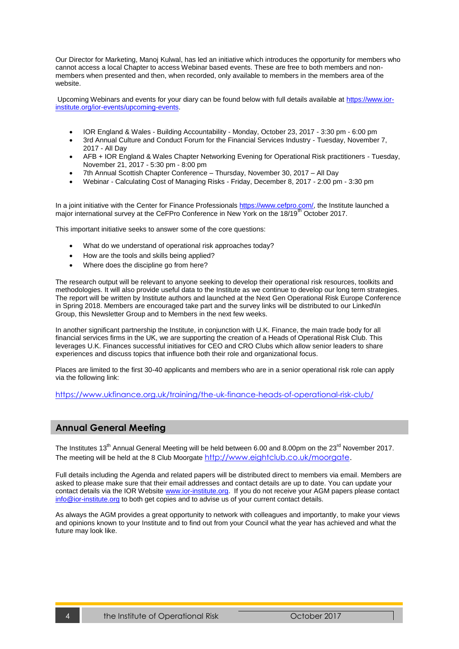Our Director for Marketing, Manoj Kulwal, has led an initiative which introduces the opportunity for members who cannot access a local Chapter to access Webinar based events. These are free to both members and nonmembers when presented and then, when recorded, only available to members in the members area of the website.

Upcoming Webinars and events for your diary can be found below with full details available at [https://www.ior](https://www.ior-institute.org/ior-events/upcoming-events)[institute.org/ior-events/upcoming-events.](https://www.ior-institute.org/ior-events/upcoming-events)

- [IOR England & Wales -](https://www.ior-institute.org/ior-events/ior-england-wales-building-accountability) Building Accountability Monday, October 23, 2017 3:30 pm 6:00 pm
- [3rd Annual Culture and Conduct Forum for the Financial Services Industry](https://www.ior-institute.org/ior-events/3rd-annual-culture-and-conduct-forum-for-the-financial-services-industry) Tuesday, November 7, 2017 - All Day
- [AFB + IOR England & Wales Chapter Networking Evening for Operational Risk practitioners](https://www.ior-institute.org/ior-events/afb-ior-england-wales-chapter-networking-evening-for-operational-risk-practitioners) Tuesday, November 21, 2017 - 5:30 pm - 8:00 pm
- 7th Annual Scottish Chapter Conference Thursday, November 30, 2017 All Day
- Webinar [Calculating Cost of Managing Risks](https://www.ior-institute.org/ior-events/webinar-calculating-cost-of-managing-risks) Friday, December 8, 2017 2:00 pm 3:30 pm

In a joint initiative with the Center for Finance Professional[s https://www.cefpro.com/,](https://www.cefpro.com/) the Institute launched a major international survey at the CeFPro Conference in New York on the 18/19<sup>th</sup> October 2017.

This important initiative seeks to answer some of the core questions:

- What do we understand of operational risk approaches today?
- How are the tools and skills being applied?
- Where does the discipline go from here?

The research output will be relevant to anyone seeking to develop their operational risk resources, toolkits and methodologies. It will also provide useful data to the Institute as we continue to develop our long term strategies. The report will be written by Institute authors and launched at the Next Gen Operational Risk Europe Conference in Spring 2018. Members are encouraged take part and the survey links will be distributed to our Linked\In Group, this Newsletter Group and to Members in the next few weeks.

In another significant partnership the Institute, in conjunction with U.K. Finance, the main trade body for all financial services firms in the UK, we are supporting the creation of a Heads of Operational Risk Club. This leverages U.K. Finances successful initiatives for CEO and CRO Clubs which allow senior leaders to share experiences and discuss topics that influence both their role and organizational focus.

Places are limited to the first 30-40 applicants and members who are in a senior operational risk role can apply via the following link:

<https://www.ukfinance.org.uk/training/the-uk-finance-heads-of-operational-risk-club/>

#### <span id="page-3-0"></span>**Annual General Meeting**

The Institutes 13<sup>th</sup> Annual General Meeting will be held between 6.00 and 8.00pm on the 23<sup>rd</sup> November 2017. The meeting will be held at the 8 Club Moorgate [http://www.eightclub.co.uk/moorgate.](http://www.eightclub.co.uk/moorgate)

Full details including the Agenda and related papers will be distributed direct to members via email. Members are asked to please make sure that their email addresses and contact details are up to date. You can update your contact details via the IOR Websit[e www.ior-institute.org.](http://www.ior-institute.org/) If you do not receive your AGM papers please contact [info@ior-institute.org](mailto:info@ior-institute.org) to both get copies and to advise us of your current contact details.

As always the AGM provides a great opportunity to network with colleagues and importantly, to make your views and opinions known to your Institute and to find out from your Council what the year has achieved and what the future may look like.